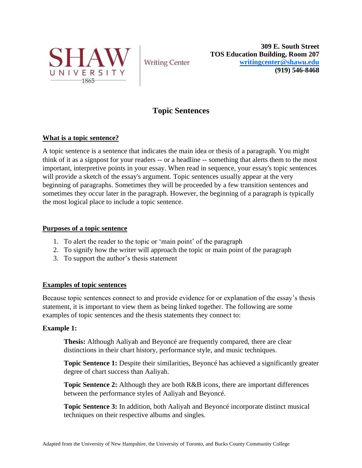

**Writing Center** 

**309 E. South Street TOS Education Building, Room 207 [writingcenter@shawu.edu](mailto:writingcenter@shawu.edu) (919) 546-8468**

# **Topic Sentences**

## **What is a topic sentence?**

A topic sentence is a sentence that indicates the main idea or thesis of a paragraph. You might think of it as a signpost for your readers -- or a headline -- something that alerts them to the most important, interpretive points in your essay. When read in sequence, your essay's topic sentences will provide a sketch of the essay's argument. Topic sentences usually appear at the very beginning of paragraphs. Sometimes they will be proceeded by a few transition sentences and sometimes they occur later in the paragraph. However, the beginning of a paragraph is typically the most logical place to include a topic sentence.

#### **Purposes of a topic sentence**

- 1. To alert the reader to the topic or 'main point' of the paragraph
- 2. To signify how the writer will approach the topic or main point of the paragraph
- 3. To support the author's thesis statement

### **Examples of topic sentences**

Because topic sentences connect to and provide evidence for or explanation of the essay's thesis statement, it is important to view them as being linked together. The following are some examples of topic sentences and the thesis statements they connect to:

### **Example 1:**

**Thesis:** Although Aaliyah and Beyoncé are frequently compared, there are clear distinctions in their chart history, performance style, and music techniques.

**Topic Sentence 1:** Despite their similarities, Beyonce has achieved a significantly greater degree of chart success than Aaliyah.

**Topic Sentence 2:** Although they are both R&B icons, there are important differences between the performance styles of Aaliyah and Beyoncé.

**Topic Sentence 3:** In addition, both Aaliyah and Beyoncé incorporate distinct musical techniques on their respective albums and singles.